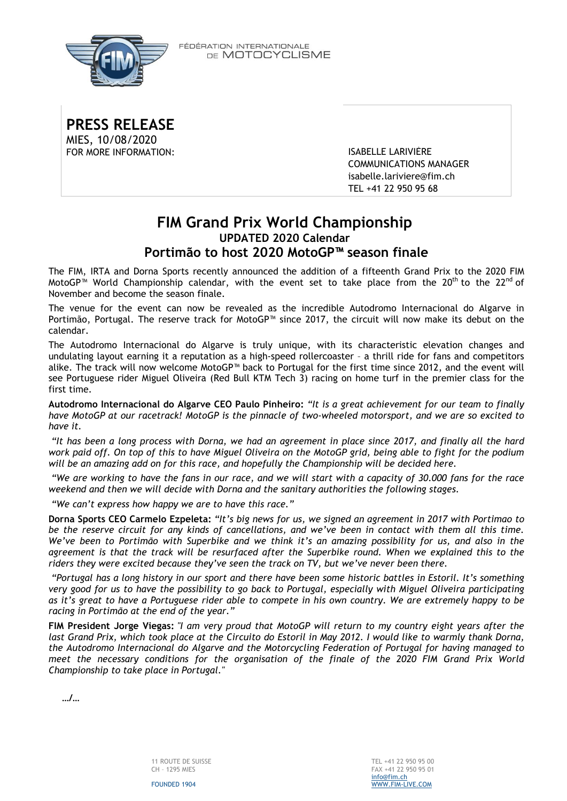

FÉDÉRATION INTERNATIONALE DE MOTOCYCLISME

**PRESS RELEASE** MIES, 10/08/2020 FOR MORE INFORMATION: ISABELLE LARIVIÈRE

COMMUNICATIONS MANAGER [isabelle.lariviere@fim.ch](mailto:isabelle.lariviere@fim.ch) TEL +41 22 950 95 68

# **FIM Grand Prix World Championship UPDATED 2020 Calendar Portimão to host 2020 MotoGP™ season finale**

The FIM, IRTA and Dorna Sports recently announced the addition of a fifteenth Grand Prix to the 2020 FIM MotoGP<sup>™</sup> World Championship calendar, with the event set to take place from the 20<sup>th</sup> to the 22<sup>nd</sup> of November and become the season finale.

The venue for the event can now be revealed as the incredible Autodromo Internacional do Algarve in Portimão, Portugal. The reserve track for MotoGP™ since 2017, the circuit will now make its debut on the calendar.

The Autodromo Internacional do Algarve is truly unique, with its characteristic elevation changes and undulating layout earning it a reputation as a high-speed rollercoaster – a thrill ride for fans and competitors alike. The track will now welcome MotoGP™ back to Portugal for the first time since 2012, and the event will see Portuguese rider Miguel Oliveira (Red Bull KTM Tech 3) racing on home turf in the premier class for the first time.

**Autodromo Internacional do Algarve CEO Paulo Pinheiro:** *"It is a great achievement for our team to finally* have MotoGP at our racetrack! MotoGP is the pinnacle of two-wheeled motorsport, and we are so excited to *have it.*

"It has been a long process with Dorna, we had an agreement in place since 2017, and finally all the hard work paid off. On top of this to have Miguel Oliveira on the MotoGP grid, being able to fight for the podium *will be an amazing add on for this race, and hopefully the Championship will be decided here.*

"We are working to have the fans in our race, and we will start with a capacity of 30.000 fans for the race *weekend and then we will decide with Dorna and the sanitary authorities the following stages.*

*"We can't express how happy we are to have this race."*

Dorna Sports CEO Carmelo Ezpeleta: "It's big news for us, we signed an agreement in 2017 with Portimao to be the reserve circuit for any kinds of cancellations, and we've been in contact with them all this time. We've been to Portimão with Superbike and we think it's an amazing possibility for us, and also in the agreement is that the track will be resurfaced after the Superbike round. When we explained this to the *riders they were excited because they've seen the track on TV, but we've never been there.*

"Portugal has a long history in our sport and there have been some historic battles in Estoril. It's something very good for us to have the possibility to go back to Portugal, especially with Miguel Oliveira participating as it's great to have a Portuguese rider able to compete in his own country. We are extremely happy to be *racing in Portimão at the end of the year."*

FIM President Jorge Viegas: "I am very proud that MotoGP will return to my country eight years after the last Grand Prix, which took place at the Circuito do Estoril in May 2012. I would like to warmly thank Dorna, *the Autodromo Internacional do Algarve and the Motorcycling Federation of Portugal for having managed to meet the necessary conditions for the organisation of the finale of the 2020 FIM Grand Prix World Championship to take place in Portugal."*

**…/…**

FOUNDED 1904